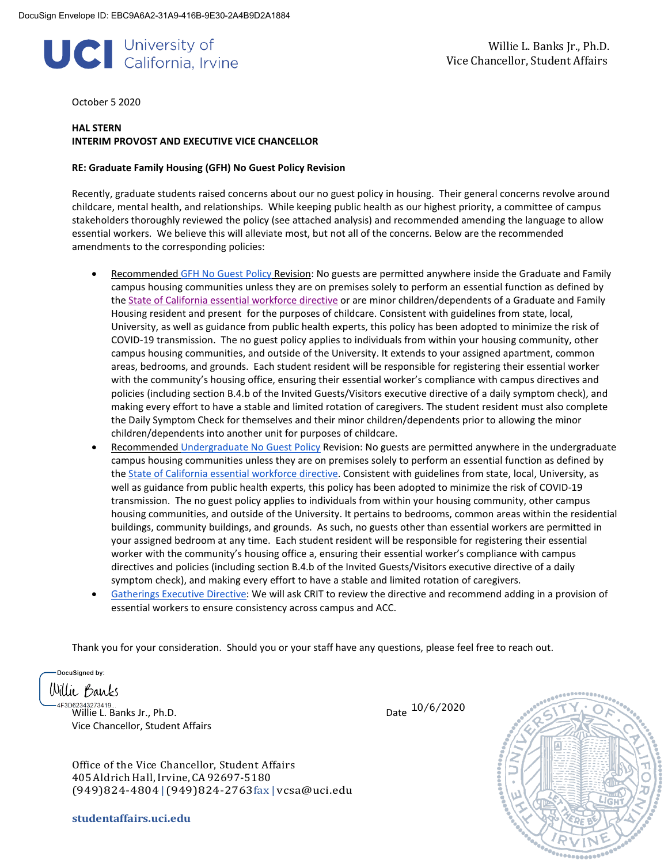# Willie L. Banks Jr., Ph.D. **Vice Chancellor, Student Affairs** (California, Irvine

October 5 2020

#### **HAL STERN INTERIM PROVOST AND EXECUTIVE VICE CHANCELLOR**

#### **RE: Graduate Family Housing (GFH) No Guest Policy Revision**

Recently, graduate students raised concerns about our no guest policy in housing. Their general concerns revolve around childcare, mental health, and relationships. While keeping public health as our highest priority, a committee of campus stakeholders thoroughly reviewed the policy (see attached analysis) and recommended amending the language to allow essential workers. We believe this will alleviate most, but not all of the concerns. Below are the recommended amendments to the corresponding policies:

- Recommended [GFH No Guest Policy](https://housing.uci.edu/docs/policies/GFHPolicies.pdf) Revision: No guests are permitted anywhere inside the Graduate and Family campus housing communities unless they are on premises solely to perform an essential function as defined by the [State of California essential workforce directive](https://covid19.ca.gov/essential-workforce/) or are minor children/dependents of a Graduate and Family Housing resident and present for the purposes of childcare. Consistent with guidelines from state, local, University, as well as guidance from public health experts, this policy has been adopted to minimize the risk of COVID-19 transmission. The no guest policy applies to individuals from within your housing community, other campus housing communities, and outside of the University. It extends to your assigned apartment, common areas, bedrooms, and grounds. Each student resident will be responsible for registering their essential worker with the community's housing office, ensuring their essential worker's compliance with campus directives and policies (including section B.4.b of the Invited Guests/Visitors executive directive of a daily symptom check), and making every effort to have a stable and limited rotation of caregivers. The student resident must also complete the Daily Symptom Check for themselves and their minor children/dependents prior to allowing the minor children/dependents into another unit for purposes of childcare.
- Recommended [Undergraduate No Guest Policy](https://housing.uci.edu/docs/policies/UGPolicies2020-21.pdf) Revision: No guests are permitted anywhere in the undergraduate campus housing communities unless they are on premises solely to perform an essential function as defined by the [State of California essential workforce directive.](https://covid19.ca.gov/essential-workforce/) Consistent with guidelines from state, local, University, as well as guidance from public health experts, this policy has been adopted to minimize the risk of COVID-19 transmission. The no guest policy applies to individuals from within your housing community, other campus housing communities, and outside of the University. It pertains to bedrooms, common areas within the residential buildings, community buildings, and grounds. As such, no guests other than essential workers are permitted in your assigned bedroom at any time. Each student resident will be responsible for registering their essential worker with the community's housing office a, ensuring their essential worker's compliance with campus directives and policies (including section B.4.b of the Invited Guests/Visitors executive directive of a daily symptom check), and making every effort to have a stable and limited rotation of caregivers.
- [Gatherings Executive Directive:](https://uci.edu/coronavirus/executive-directives/UCI20_ExecutiveDirective_Gatherings07-21-20-final.pdf) We will ask CRIT to review the directive and recommend adding in a provision of essential workers to ensure consistency across campus and ACC.

Thank you for your consideration. Should you or your staff have any questions, please feel free to reach out.

DocuSigned by: Villie *B*anks

 $3062343273410$ Willie L. Banks Jr., Ph.D. Vice Chancellor, Student Affairs Date 10/6/2020



Office of the Vice Chancellor, Student Affairs 405AldrichHall,Irvine, CA92697-5180 (949)824-4804|(949)824-2763fax | [vcsa@uci.edu](mailto:vcsa@uci.edu)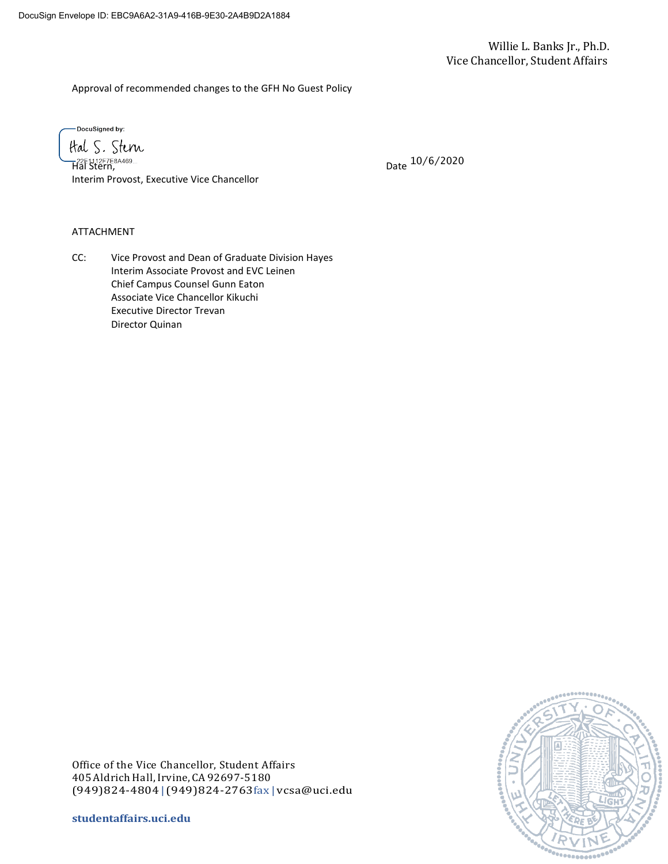Approval of recommended changes to the GFH No Guest Policy

-DocuSigned by:

ttal S. Stern —22E1112F7E8A469...<br>Hal Stern, Interim Provost, Executive Vice Chancellor

Date 10/6/2020

#### ATTACHMENT

CC: Vice Provost and Dean of Graduate Division Hayes Interim Associate Provost and EVC Leinen Chief Campus Counsel Gunn Eaton Associate Vice Chancellor Kikuchi Executive Director Trevan Director Quinan

Office of the Vice Chancellor, Student Affairs 405AldrichHall,Irvine, CA92697-5180 (949)824-4804|(949)824-2763fax | [vcsa@uci.edu](mailto:vcsa@uci.edu)

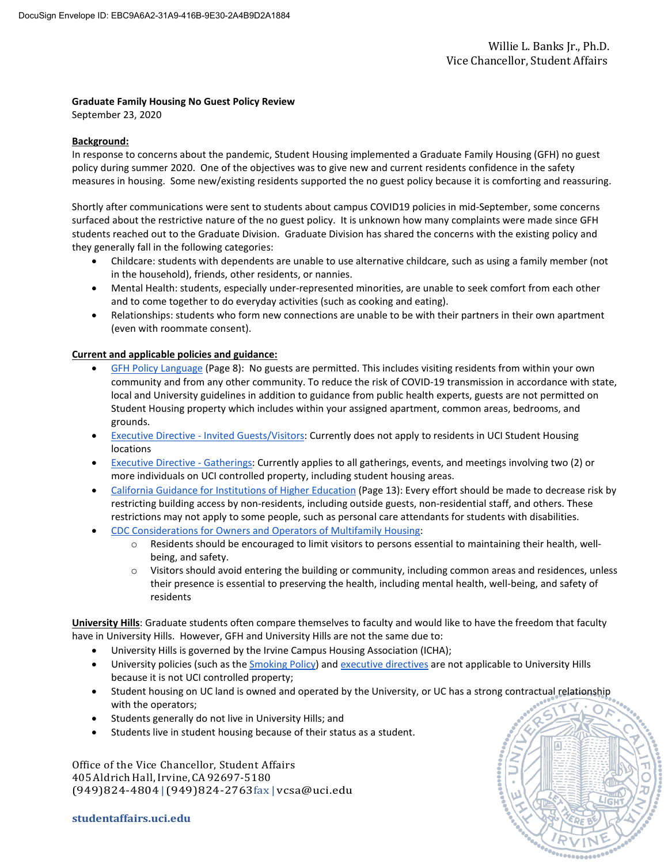### **Graduate Family Housing No Guest Policy Review**

September 23, 2020

#### **Background:**

In response to concerns about the pandemic, Student Housing implemented a Graduate Family Housing (GFH) no guest policy during summer 2020. One of the objectives was to give new and current residents confidence in the safety measures in housing. Some new/existing residents supported the no guest policy because it is comforting and reassuring.

Shortly after communications were sent to students about campus COVID19 policies in mid-September, some concerns surfaced about the restrictive nature of the no guest policy. It is unknown how many complaints were made since GFH students reached out to the Graduate Division. Graduate Division has shared the concerns with the existing policy and they generally fall in the following categories:

- Childcare: students with dependents are unable to use alternative childcare, such as using a family member (not in the household), friends, other residents, or nannies.
- Mental Health: students, especially under-represented minorities, are unable to seek comfort from each other and to come together to do everyday activities (such as cooking and eating).
- Relationships: students who form new connections are unable to be with their partners in their own apartment (even with roommate consent).

### **Current and applicable policies and guidance:**

- [GFH Policy Language](https://www.housing.uci.edu/docs/policies/GFHPolicies.pdf) (Page 8): No guests are permitted. This includes visiting residents from within your own community and from any other community. To reduce the risk of COVID-19 transmission in accordance with state, local and University guidelines in addition to guidance from public health experts, guests are not permitted on Student Housing property which includes within your assigned apartment, common areas, bedrooms, and grounds.
- Executive Directive [Invited Guests/Visitors:](https://uci.edu/coronavirus/executive-directives/uci20-executivedirective-visitors-final-secure.pdf) Currently does not apply to residents in UCI Student Housing locations
- [Executive Directive -](https://uci.edu/coronavirus/executive-directives/UCI20_ExecutiveDirective_Gatherings07-21-20-final.pdf) Gatherings: Currently applies to all gatherings, events, and meetings involving two (2) or more individuals on UCI controlled property, including student housing areas.
- [California Guidance for Institutions of Higher Education](https://files.covid19.ca.gov/pdf/guidance-higher-education--en.pdf) (Page 13): Every effort should be made to decrease risk by restricting building access by non-residents, including outside guests, non-residential staff, and others. These restrictions may not apply to some people, such as personal care attendants for students with disabilities.
- [CDC Considerations for Owners and Operators of Multifamily Housing:](https://www.cdc.gov/coronavirus/2019-ncov/community/multifamily-housing.html)
	- o Residents should be encouraged to limit visitors to persons essential to maintaining their health, wellbeing, and safety.
	- o Visitors should avoid entering the building or community, including common areas and residences, unless their presence is essential to preserving the health, including mental health, well-being, and safety of residents

**University Hills**: Graduate students often compare themselves to faculty and would like to have the freedom that faculty have in University Hills. However, GFH and University Hills are not the same due to:

- University Hills is governed by the Irvine Campus Housing Association (ICHA);
- University policies (such as the [Smoking Policy\)](https://www.policies.uci.edu/policies/pols/903-14.php) an[d executive directives](https://uci.edu/coronavirus/executive-directives/index.php) are not applicable to University Hills because it is not UCI controlled property;
- Student housing on UC land is owned and operated by the University, or UC has a strong contractual relationship with the operators;
- Students generally do not live in University Hills; and
- Students live in student housing because of their status as a student.

Office of the Vice Chancellor, Student Affairs 405AldrichHall,Irvine, CA92697-5180 (949)824-4804|(949)824-2763fax | [vcsa@uci.edu](mailto:vcsa@uci.edu)

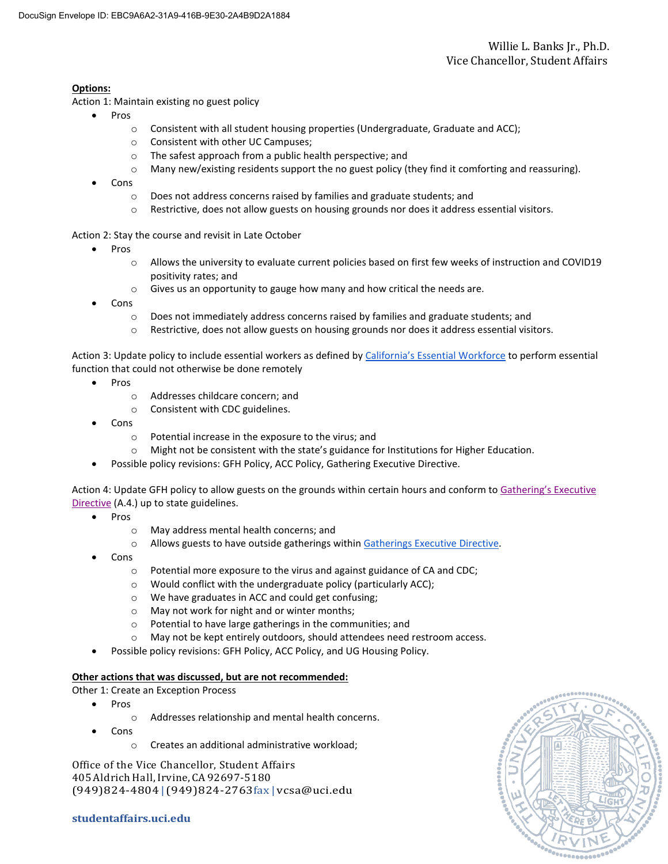## **Options:**

Action 1: Maintain existing no guest policy

- Pros
	- $\circ$  Consistent with all student housing properties (Undergraduate, Graduate and ACC);
	- o Consistent with other UC Campuses;
	- o The safest approach from a public health perspective; and
	- $\circ$  Many new/existing residents support the no guest policy (they find it comforting and reassuring).
- Cons
	- o Does not address concerns raised by families and graduate students; and
	- o Restrictive, does not allow guests on housing grounds nor does it address essential visitors.

Action 2: Stay the course and revisit in Late October

- Pros
	- o Allows the university to evaluate current policies based on first few weeks of instruction and COVID19 positivity rates; and
	- $\circ$  Gives us an opportunity to gauge how many and how critical the needs are.
- Cons
	- $\circ$  Does not immediately address concerns raised by families and graduate students; and
	- o Restrictive, does not allow guests on housing grounds nor does it address essential visitors.

Action 3: Update policy to include essential workers as defined by [California's Essential Workforce](https://files.covid19.ca.gov/pdf/EssentialCriticalInfrastructureWorkers.pdf) to perform essential function that could not otherwise be done remotely

- Pros
	- o Addresses childcare concern; and
	- o Consistent with CDC guidelines.
- Cons
	- o Potential increase in the exposure to the virus; and
	- o Might not be consistent with the state's guidance for Institutions for Higher Education.
- Possible policy revisions: GFH Policy, ACC Policy, Gathering Executive Directive.

Action 4: Update GFH policy to allow guests on the grounds within certain hours and conform to [Gathering's Executive](https://uci.edu/coronavirus/executive-directives/UCI20_ExecutiveDirective_Gatherings07-21-20-final.pdf)  [Directive](https://uci.edu/coronavirus/executive-directives/UCI20_ExecutiveDirective_Gatherings07-21-20-final.pdf) (A.4.) up to state guidelines.

- Pros
	- o May address mental health concerns; and
	- o Allows guests to have outside gatherings withi[n Gatherings Executive Directive.](https://uci.edu/coronavirus/executive-directives/UCI20_ExecutiveDirective_Gatherings07-21-20-final.pdf)
- Cons
	- o Potential more exposure to the virus and against guidance of CA and CDC;
	- o Would conflict with the undergraduate policy (particularly ACC);
	- o We have graduates in ACC and could get confusing;
	- o May not work for night and or winter months;
	- o Potential to have large gatherings in the communities; and
	- o May not be kept entirely outdoors, should attendees need restroom access.
	- Possible policy revisions: GFH Policy, ACC Policy, and UG Housing Policy.

### **Other actions that was discussed, but are not recommended:**

Other 1: Create an Exception Process

- Pros
	- o Addresses relationship and mental health concerns.
- Cons
	- o Creates an additional administrative workload;

Office of the Vice Chancellor, Student Affairs 405AldrichHall,Irvine, CA92697-5180 (949)824-4804|(949)824-2763fax | [vcsa@uci.edu](mailto:vcsa@uci.edu)